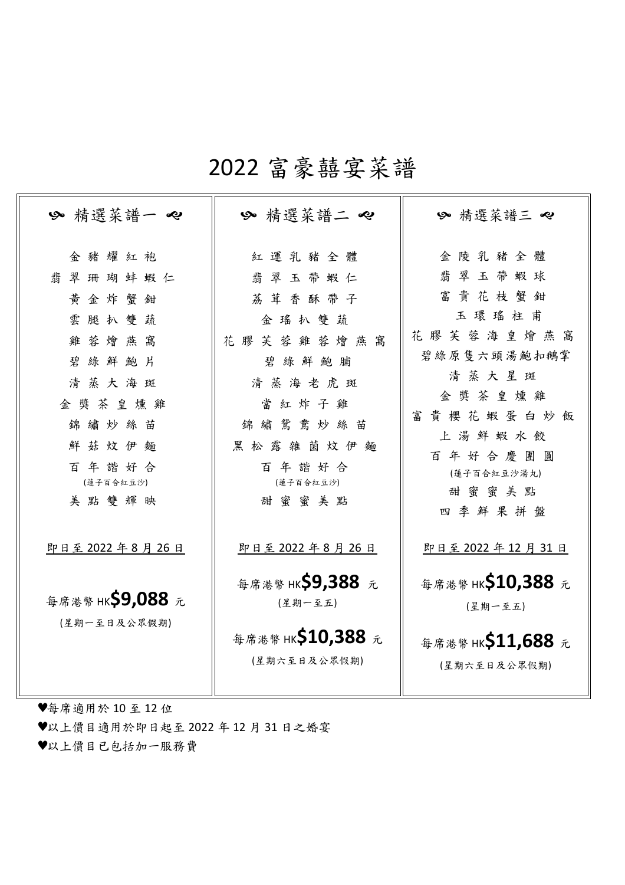# 2022 富豪囍宴菜譜

| ≫ 精選菜譜一 ~                                                                                                                | 精選菜譜ニ 々                                                                                                                                | ≫ 精選菜譜三 ~                                                                                                                                              |
|--------------------------------------------------------------------------------------------------------------------------|----------------------------------------------------------------------------------------------------------------------------------------|--------------------------------------------------------------------------------------------------------------------------------------------------------|
| 金豬耀紅袍<br>翡翠珊瑚蚌蝦仁<br>黃金炸蟹鉗<br>雲腿扒雙蔬<br>雞蓉燴燕窩<br>碧綠鮮鮑片<br>清蒸大海斑<br>金獎茶皇燻雞<br>錦繡炒絲苗<br>鮮菇炆伊麵<br>百年諧好合<br>(蓮子百合紅豆沙)<br>美點雙輝映 | 紅運乳豬全體<br>翡翠玉帶蝦仁<br>荔茸香酥带子<br>金瑤扒雙蔬<br>花膠芙蓉雞蓉燴燕<br>窩<br>碧綠鮮鮑脯<br>清蒸海老虎斑<br>當紅炸子雞<br>錦繡鴛鴦炒絲苗<br>黑松露雜菌炆伊麵<br>百年諧好合<br>(蓮子百合紅豆沙)<br>甜蜜蜜美點 | 金陵乳豬全體<br>翡翠玉帶蝦球<br>富貴花枝蟹鉗<br>玉環瑤柱甫<br>花膠芙蓉海皇燴燕窩<br>碧綠原隻六頭湯鮑扣鵝掌<br>清蒸大星斑<br>金獎茶皇燻雞<br>富貴櫻花蝦蛋白炒飯<br>上湯鮮蝦水餃<br>百年好合慶團圓<br>(蓮子百合紅豆沙湯丸)<br>甜蜜蜜美點<br>四季鮮果拼盤 |
| 即日至 2022 年 8 月 26 日<br>每席港幣 HK <b>\$9,088</b> 元<br>(星期一至日及公眾假期)                                                          | 即日至 2022 年8月 26日<br>每席港幣 HK <b>Ş9,388</b> 元<br>(星期一至五)<br>每席港幣 HK <b>\$10,388</b> 元<br>(星期六至日及公眾假期)                                    | 即日至 2022 年 12 月 31 日<br>每席港幣 HK <b>Ş10,388</b> 元<br>(星期一至五)<br>每席港幣 HK <b>S11,688</b> 元<br>(星期六至日及公眾假期)                                                |

♥每席適用於 10 至 12 位

♥以上價目適用於即日起至 2022 年 12 月 31 日之婚宴

♥以上價目已包括加一服務費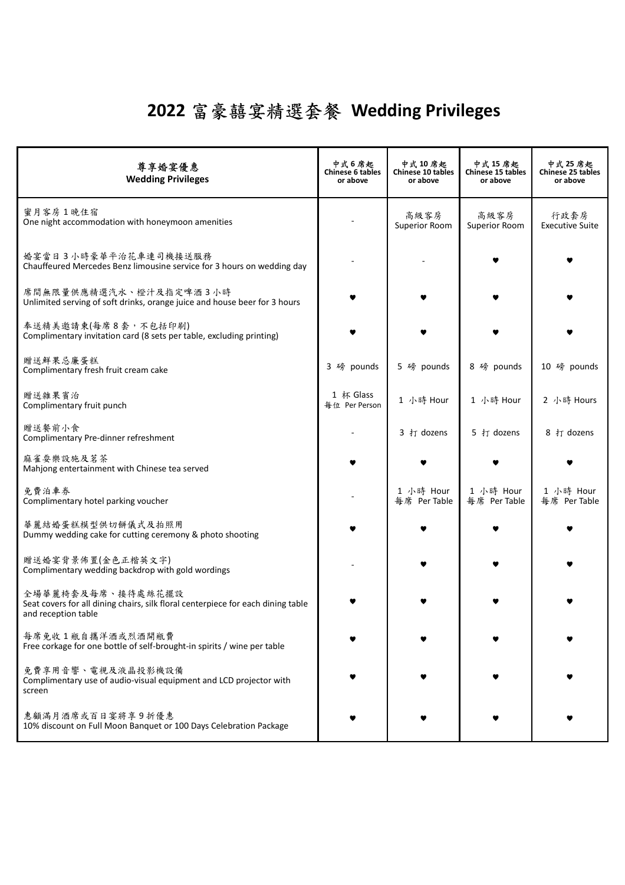## **2022** 富豪囍宴精選套餐 **Wedding Privileges**

| 尊享婚宴優惠<br><b>Wedding Privileges</b>                                                                                          | 中式 6 席起<br>Chinese 6 tables<br>or above | 中式 10 席起<br>Chinese 10 tables<br>or above | 中式 15 席起<br>Chinese 15 tables<br>or above | 中式 25 席起<br>Chinese 25 tables<br>or above |
|------------------------------------------------------------------------------------------------------------------------------|-----------------------------------------|-------------------------------------------|-------------------------------------------|-------------------------------------------|
| 蜜月客房1晚住宿<br>One night accommodation with honeymoon amenities                                                                 |                                         | 高級客房<br>Superior Room                     | 高級客房<br><b>Superior Room</b>              | 行政套房<br><b>Executive Suite</b>            |
| 婚宴當日3小時豪華平治花車連司機接送服務<br>Chauffeured Mercedes Benz limousine service for 3 hours on wedding day                               |                                         |                                           |                                           |                                           |
| 席間無限量供應精選汽水、橙汁及指定啤酒3小時<br>Unlimited serving of soft drinks, orange juice and house beer for 3 hours                          |                                         |                                           |                                           |                                           |
| 奉送精美邀請柬(每席8套,不包括印刷)<br>Complimentary invitation card (8 sets per table, excluding printing)                                  |                                         |                                           |                                           |                                           |
| 贈送鮮果忌廉蛋糕<br>Complimentary fresh fruit cream cake                                                                             | 3 磅 pounds                              | 5 磅 pounds                                | 8 磅 pounds                                | 10 磅 pounds                               |
| 贈送雜果賓治<br>Complimentary fruit punch                                                                                          | 1 杯 Glass<br><b>每位 Per Person</b>       | 1 小時 Hour                                 | 1 小時 Hour                                 | 2 小時 Hours                                |
| 贈送餐前小食<br>Complimentary Pre-dinner refreshment                                                                               |                                         | 3 打 dozens                                | 5 打 dozens                                | 8 打 dozens                                |
| 麻雀耍樂設施及茗茶<br>Mahjong entertainment with Chinese tea served                                                                   |                                         |                                           |                                           |                                           |
| 免費泊車券<br>Complimentary hotel parking voucher                                                                                 |                                         | 1 小時 Hour<br>每席 Per Table                 | 1 小時 Hour<br>每席 Per Table                 | 1 小時 Hour<br>每席 Per Table                 |
| 華麗結婚蛋糕模型供切餅儀式及拍照用<br>Dummy wedding cake for cutting ceremony & photo shooting                                                |                                         |                                           |                                           |                                           |
| 贈送婚宴背景佈置(金色正楷英文字)<br>Complimentary wedding backdrop with gold wordings                                                       |                                         |                                           |                                           |                                           |
| 全場華麗椅套及每席、接待處絲花擺設<br>Seat covers for all dining chairs, silk floral centerpiece for each dining table<br>and reception table |                                         |                                           |                                           |                                           |
| 每席免收1瓶自攜洋酒或烈酒開瓶費<br>Free corkage for one bottle of self-brought-in spirits / wine per table                                  |                                         |                                           |                                           |                                           |
| 免費享用音響、電視及液晶投影機設備<br>Complimentary use of audio-visual equipment and LCD projector with<br>screen                            |                                         |                                           |                                           |                                           |
| 惠顧滿月酒席或百日宴將享9折優惠<br>10% discount on Full Moon Banquet or 100 Days Celebration Package                                        |                                         |                                           |                                           |                                           |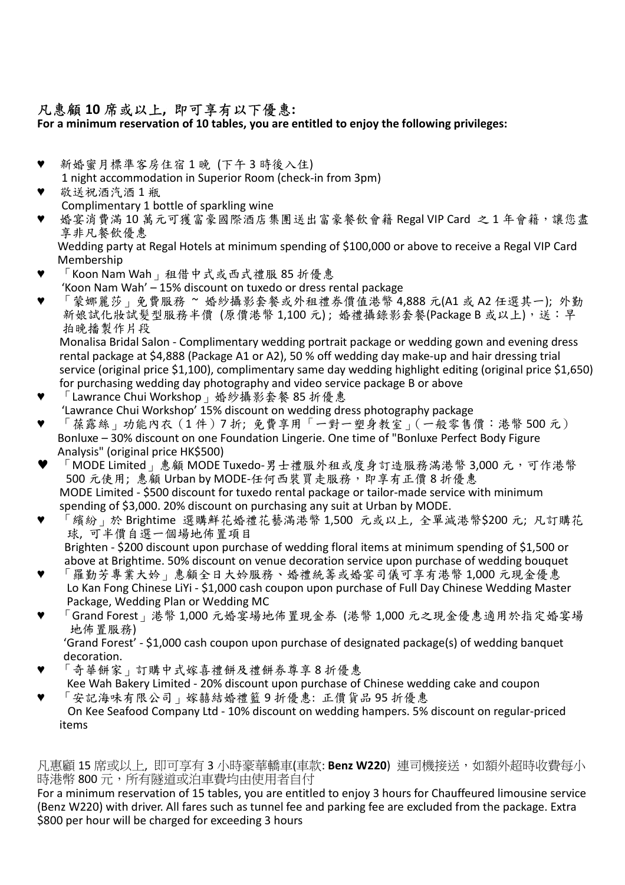## 凡惠顧 **10** 席或以上**,** 即可享有以下優惠**:**

**For a minimum reservation of 10 tables, you are entitled to enjoy the following privileges:**

- 新婚蜜月標準客房住宿1晚 (下午3時後入住) 1 night accommodation in Superior Room (check-in from 3pm)
- 敬送祝酒汽酒 1 瓶 Complimentary 1 bottle of sparkling wine
- 婚宴消費滿 10萬元可獲富豪國際酒店集團送出富豪餐飲會籍 Regal VIP Card 之 1 年會籍,讓您盡 享非凡餐飲優惠
	- Wedding party at Regal Hotels at minimum spending of \$100,000 or above to receive a Regal VIP Card Membership
- $\lceil$  Koon Nam Wah  $\lceil$  租借中式或西式禮服 85 折優惠 'Koon Nam Wah' – 15% discount on tuxedo or dress rental package
- 蒙娜麗莎」免費服務 ~ 婚紗攝影套餐或外租禮券價值港幣 4,888 元(A1 或 A2 任選其一); 外勤 新娘試化妝試髮型服務半價 (原價港幣 1,100元);婚禮攝錄影套餐(Package B 或以上),送: 早 拍晚播製作片段

Monalisa Bridal Salon - Complimentary wedding portrait package or wedding gown and evening dress rental package at \$4,888 (Package A1 or A2), 50 % off wedding day make-up and hair dressing trial service (original price \$1,100), complimentary same day wedding highlight editing (original price \$1,650) for purchasing wedding day photography and video service package B or above

- 「Lawrance Chui Workshop」婚紗攝影套餐 85 折優惠 'Lawrance Chui Workshop' 15% discount on wedding dress photography package
- 「葆露絲」功能內衣(1件)7折;免費享用「一對一塑身教室」(一般零售價:港幣 500 元) Bonluxe – 30% discount on one Foundation Lingerie. One time of "Bonluxe Perfect Body Figure Analysis" (original price HK\$500)
- 「MODE Limited」惠顧 MODE Tuxedo-男士禮服外租或度身訂造服務滿港幣 3,000 元,可作港幣 500 元使用; 惠顧 Urban by MODE-任何西裝買走服務, 即享有正價 8 折優惠 MODE Limited - \$500 discount for tuxedo rental package or tailor-made service with minimum spending of \$3,000. 20% discount on purchasing any suit at Urban by MODE.
- 「繽紛」於 Brightime 選購鮮花婚禮花藝滿港幣 1,500 元或以上, 全單減港幣\$200 元; 凡訂購花 球, 可半價自選一個場地佈置項目 Brighten - \$200 discount upon purchase of wedding floral items at minimum spending of \$1,500 or
- above at Brightime. 50% discount on venue decoration service upon purchase of wedding bouquet 「羅勤芳專業大妗」惠顧全日大妗服務、婚禮統籌或婚宴司儀可享有港幣 1,000 元現金優惠 Lo Kan Fong Chinese LiYi - \$1,000 cash coupon upon purchase of Full Day Chinese Wedding Master Package, Wedding Plan or Wedding MC
- 「Grand Forest」港幣 1,000 元婚宴場地佈置現金券 (港幣 1,000 元之現金優惠適用於指定婚宴場 地佈置服務) 'Grand Forest' - \$1,000 cash coupon upon purchase of designated package(s) of wedding banquet
- decoration. 「奇華餅家」訂購中式嫁喜禮餅及禮餅券尊享8折優惠
- Kee Wah Bakery Limited 20% discount upon purchase of Chinese wedding cake and coupon 「安記海味有限公司」嫁囍結婚禮籃9折優惠: 正價貨品 95 折優惠
- On Kee Seafood Company Ltd 10% discount on wedding hampers. 5% discount on regular-priced items

### 凡惠顧 15 席或以上, 即可享有 3 小時豪華轎車(車款: Benz W220) 連司機接送, 如額外超時收費每小 時港幣 800 元,所有隧道或泊車費均由使用者自付

For a minimum reservation of 15 tables, you are entitled to enjoy 3 hours for Chauffeured limousine service (Benz W220) with driver. All fares such as tunnel fee and parking fee are excluded from the package. Extra \$800 per hour will be charged for exceeding 3 hours